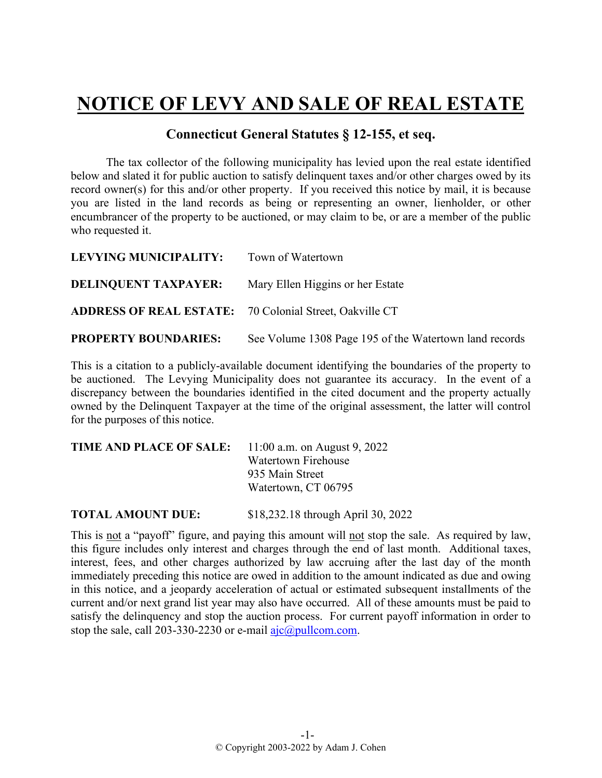## **NOTICE OF LEVY AND SALE OF REAL ESTATE**

## **Connecticut General Statutes § 12-155, et seq.**

The tax collector of the following municipality has levied upon the real estate identified below and slated it for public auction to satisfy delinquent taxes and/or other charges owed by its record owner(s) for this and/or other property. If you received this notice by mail, it is because you are listed in the land records as being or representing an owner, lienholder, or other encumbrancer of the property to be auctioned, or may claim to be, or are a member of the public who requested it.

| LEVYING MUNICIPALITY:                                          | Town of Watertown                                      |
|----------------------------------------------------------------|--------------------------------------------------------|
| <b>DELINQUENT TAXPAYER:</b>                                    | Mary Ellen Higgins or her Estate                       |
| <b>ADDRESS OF REAL ESTATE:</b> 70 Colonial Street, Oakville CT |                                                        |
| <b>PROPERTY BOUNDARIES:</b>                                    | See Volume 1308 Page 195 of the Watertown land records |

This is a citation to a publicly-available document identifying the boundaries of the property to be auctioned. The Levying Municipality does not guarantee its accuracy. In the event of a discrepancy between the boundaries identified in the cited document and the property actually owned by the Delinquent Taxpayer at the time of the original assessment, the latter will control for the purposes of this notice.

| <b>TIME AND PLACE OF SALE:</b> 11:00 a.m. on August 9, 2022 |                            |
|-------------------------------------------------------------|----------------------------|
|                                                             | <b>Watertown Firehouse</b> |
|                                                             | 935 Main Street            |
|                                                             | Watertown, CT 06795        |
|                                                             |                            |

**TOTAL AMOUNT DUE:** \$18,232.18 through April 30, 2022

This is not a "payoff" figure, and paying this amount will not stop the sale. As required by law, this figure includes only interest and charges through the end of last month. Additional taxes, interest, fees, and other charges authorized by law accruing after the last day of the month immediately preceding this notice are owed in addition to the amount indicated as due and owing in this notice, and a jeopardy acceleration of actual or estimated subsequent installments of the current and/or next grand list year may also have occurred. All of these amounts must be paid to satisfy the delinquency and stop the auction process. For current payoff information in order to stop the sale, call 203-330-2230 or e-mail  $a$ jc $@p$ ullcom.com.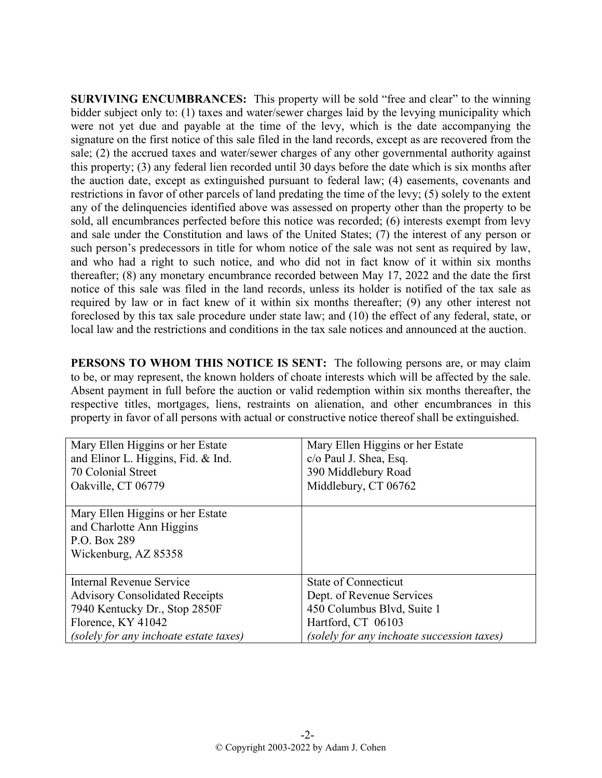**SURVIVING ENCUMBRANCES:** This property will be sold "free and clear" to the winning bidder subject only to: (1) taxes and water/sewer charges laid by the levying municipality which were not yet due and payable at the time of the levy, which is the date accompanying the signature on the first notice of this sale filed in the land records, except as are recovered from the sale; (2) the accrued taxes and water/sewer charges of any other governmental authority against this property; (3) any federal lien recorded until 30 days before the date which is six months after the auction date, except as extinguished pursuant to federal law; (4) easements, covenants and restrictions in favor of other parcels of land predating the time of the levy; (5) solely to the extent any of the delinquencies identified above was assessed on property other than the property to be sold, all encumbrances perfected before this notice was recorded; (6) interests exempt from levy and sale under the Constitution and laws of the United States; (7) the interest of any person or such person's predecessors in title for whom notice of the sale was not sent as required by law, and who had a right to such notice, and who did not in fact know of it within six months thereafter; (8) any monetary encumbrance recorded between May 17, 2022 and the date the first notice of this sale was filed in the land records, unless its holder is notified of the tax sale as required by law or in fact knew of it within six months thereafter; (9) any other interest not foreclosed by this tax sale procedure under state law; and (10) the effect of any federal, state, or local law and the restrictions and conditions in the tax sale notices and announced at the auction.

**PERSONS TO WHOM THIS NOTICE IS SENT:** The following persons are, or may claim to be, or may represent, the known holders of choate interests which will be affected by the sale. Absent payment in full before the auction or valid redemption within six months thereafter, the respective titles, mortgages, liens, restraints on alienation, and other encumbrances in this property in favor of all persons with actual or constructive notice thereof shall be extinguished.

| Mary Ellen Higgins or her Estate<br>and Elinor L. Higgins, Fid. & Ind.<br>70 Colonial Street | Mary Ellen Higgins or her Estate<br>c/o Paul J. Shea, Esq. |
|----------------------------------------------------------------------------------------------|------------------------------------------------------------|
| Oakville, CT 06779                                                                           | 390 Middlebury Road<br>Middlebury, CT 06762                |
|                                                                                              |                                                            |
| Mary Ellen Higgins or her Estate                                                             |                                                            |
| and Charlotte Ann Higgins                                                                    |                                                            |
| P.O. Box 289                                                                                 |                                                            |
| Wickenburg, AZ 85358                                                                         |                                                            |
|                                                                                              |                                                            |
| Internal Revenue Service                                                                     | <b>State of Connecticut</b>                                |
| <b>Advisory Consolidated Receipts</b>                                                        | Dept. of Revenue Services                                  |
| 7940 Kentucky Dr., Stop 2850F                                                                | 450 Columbus Blvd, Suite 1                                 |
| Florence, KY 41042                                                                           | Hartford, CT 06103                                         |
| (solely for any inchoate estate taxes)                                                       | (solely for any inchoate succession taxes)                 |